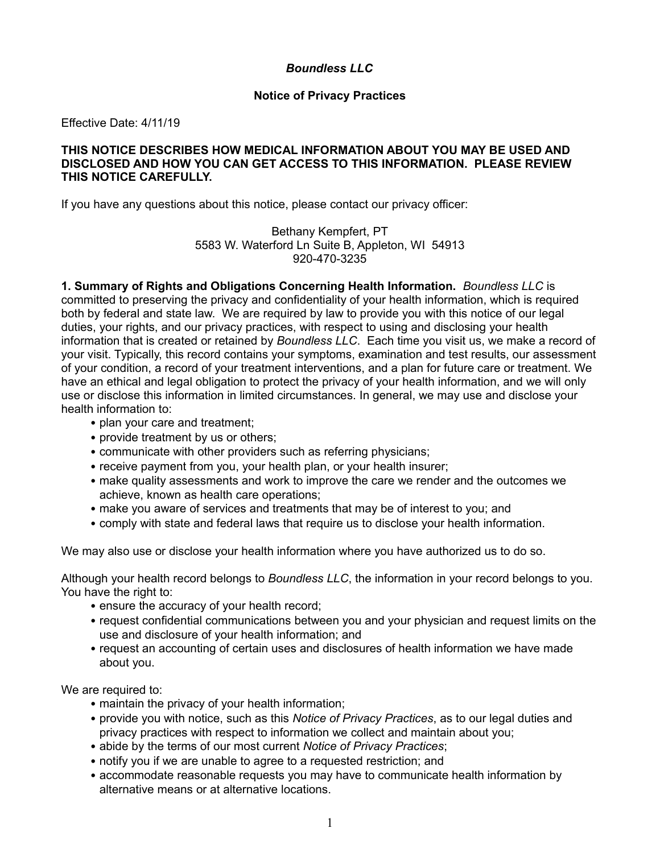# *Boundless LLC*

### **Notice of Privacy Practices**

Effective Date: 4/11/19

#### **THIS NOTICE DESCRIBES HOW MEDICAL INFORMATION ABOUT YOU MAY BE USED AND DISCLOSED AND HOW YOU CAN GET ACCESS TO THIS INFORMATION. PLEASE REVIEW THIS NOTICE CAREFULLY.**

If you have any questions about this notice, please contact our privacy officer:

Bethany Kempfert, PT 5583 W. Waterford Ln Suite B, Appleton, WI 54913 920-470-3235

**1. Summary of Rights and Obligations Concerning Health Information.** *Boundless LLC* is committed to preserving the privacy and confidentiality of your health information, which is required both by federal and state law. We are required by law to provide you with this notice of our legal duties, your rights, and our privacy practices, with respect to using and disclosing your health information that is created or retained by *Boundless LLC*. Each time you visit us, we make a record of your visit. Typically, this record contains your symptoms, examination and test results, our assessment of your condition, a record of your treatment interventions, and a plan for future care or treatment. We have an ethical and legal obligation to protect the privacy of your health information, and we will only use or disclose this information in limited circumstances. In general, we may use and disclose your health information to:

- plan your care and treatment:
- provide treatment by us or others;
- communicate with other providers such as referring physicians:
- receive payment from you, your health plan, or your health insurer;
- make quality assessments and work to improve the care we render and the outcomes we achieve, known as health care operations;
- make you aware of services and treatments that may be of interest to you; and
- comply with state and federal laws that require us to disclose your health information.

We may also use or disclose your health information where you have authorized us to do so.

Although your health record belongs to *Boundless LLC*, the information in your record belongs to you. You have the right to:

- ensure the accuracy of your health record;
- request confidential communications between you and your physician and request limits on the use and disclosure of your health information; and
- request an accounting of certain uses and disclosures of health information we have made about you.

We are required to:

- maintain the privacy of your health information;
- provide you with notice, such as this *Notice of Privacy Practices*, as to our legal duties and privacy practices with respect to information we collect and maintain about you;
- abide by the terms of our most current *Notice of Privacy Practices*;
- notify you if we are unable to agree to a requested restriction; and
- accommodate reasonable requests you may have to communicate health information by alternative means or at alternative locations.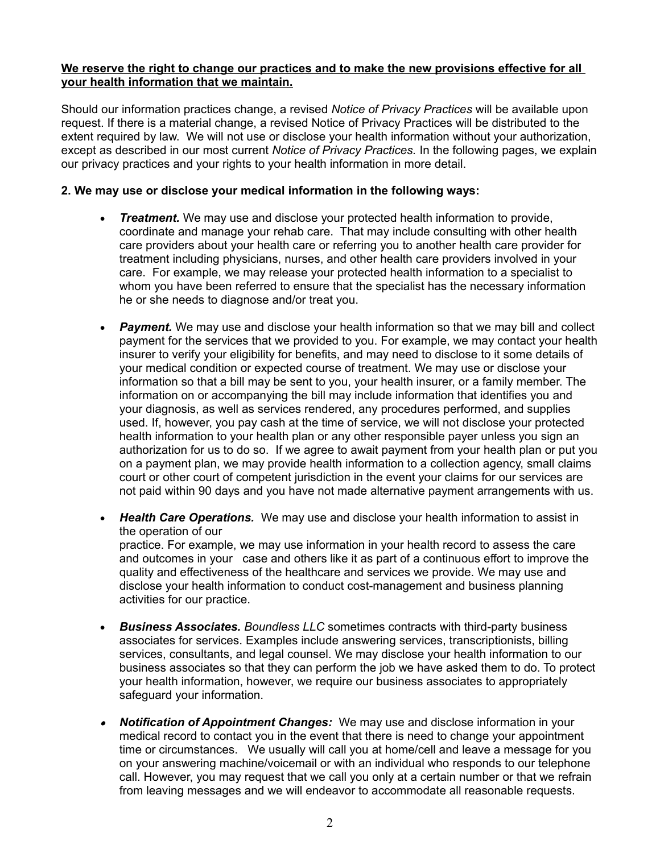## **We reserve the right to change our practices and to make the new provisions effective for all your health information that we maintain.**

Should our information practices change, a revised *Notice of Privacy Practices* will be available upon request. If there is a material change, a revised Notice of Privacy Practices will be distributed to the extent required by law. We will not use or disclose your health information without your authorization, except as described in our most current *Notice of Privacy Practices.* In the following pages, we explain our privacy practices and your rights to your health information in more detail.

## **2. We may use or disclose your medical information in the following ways:**

- *Treatment.* We may use and disclose your protected health information to provide, coordinate and manage your rehab care. That may include consulting with other health care providers about your health care or referring you to another health care provider for treatment including physicians, nurses, and other health care providers involved in your care. For example, we may release your protected health information to a specialist to whom you have been referred to ensure that the specialist has the necessary information he or she needs to diagnose and/or treat you.
- *Payment.* We may use and disclose your health information so that we may bill and collect payment for the services that we provided to you. For example, we may contact your health insurer to verify your eligibility for benefits, and may need to disclose to it some details of your medical condition or expected course of treatment. We may use or disclose your information so that a bill may be sent to you, your health insurer, or a family member. The information on or accompanying the bill may include information that identifies you and your diagnosis, as well as services rendered, any procedures performed, and supplies used. If, however, you pay cash at the time of service, we will not disclose your protected health information to your health plan or any other responsible payer unless you sign an authorization for us to do so. If we agree to await payment from your health plan or put you on a payment plan, we may provide health information to a collection agency, small claims court or other court of competent jurisdiction in the event your claims for our services are not paid within 90 days and you have not made alternative payment arrangements with us.
- *Health Care Operations.* We may use and disclose your health information to assist in the operation of our practice. For example, we may use information in your health record to assess the care and outcomes in your case and others like it as part of a continuous effort to improve the quality and effectiveness of the healthcare and services we provide. We may use and disclose your health information to conduct cost-management and business planning activities for our practice.
- *Business Associates. Boundless LLC* sometimes contracts with third-party business associates for services. Examples include answering services, transcriptionists, billing services, consultants, and legal counsel. We may disclose your health information to our business associates so that they can perform the job we have asked them to do. To protect your health information, however, we require our business associates to appropriately safeguard your information.
- $\bullet$  *Notification of Appointment Changes:* We may use and disclose information in your medical record to contact you in the event that there is need to change your appointment time or circumstances. We usually will call you at home/cell and leave a message for you on your answering machine/voicemail or with an individual who responds to our telephone call. However, you may request that we call you only at a certain number or that we refrain from leaving messages and we will endeavor to accommodate all reasonable requests.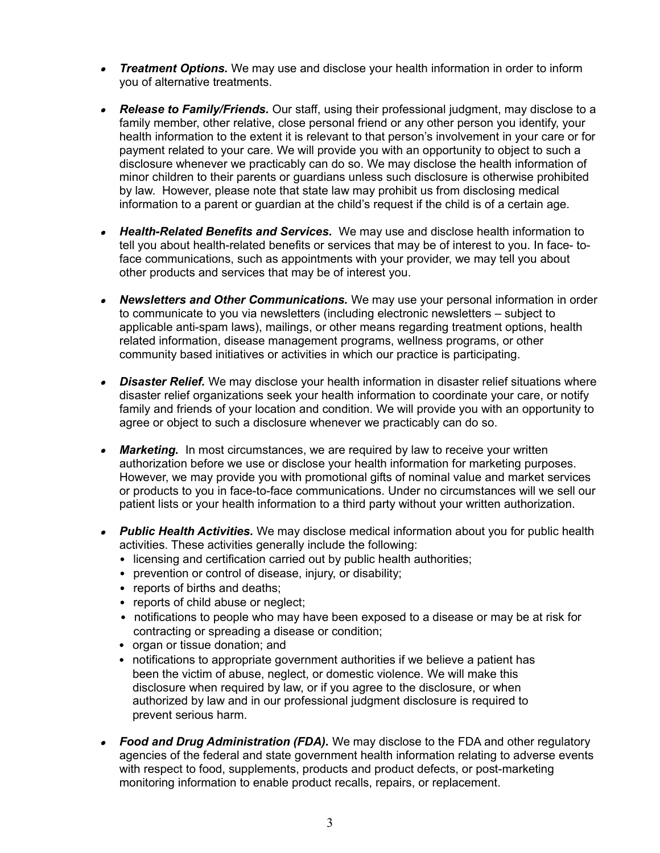- *Treatment Options.* We may use and disclose your health information in order to inform you of alternative treatments.
- *Release to Family/Friends.* Our staff, using their professional judgment, may disclose to a family member, other relative, close personal friend or any other person you identify, your health information to the extent it is relevant to that person's involvement in your care or for payment related to your care. We will provide you with an opportunity to object to such a disclosure whenever we practicably can do so. We may disclose the health information of minor children to their parents or guardians unless such disclosure is otherwise prohibited by law. However, please note that state law may prohibit us from disclosing medical information to a parent or guardian at the child's request if the child is of a certain age.
- $\bullet$  *Health-Related Benefits and Services.* We may use and disclose health information to tell you about health-related benefits or services that may be of interest to you. In face- toface communications, such as appointments with your provider, we may tell you about other products and services that may be of interest you.
- *Newsletters and Other Communications.* We may use your personal information in order to communicate to you via newsletters (including electronic newsletters – subject to applicable anti-spam laws), mailings, or other means regarding treatment options, health related information, disease management programs, wellness programs, or other community based initiatives or activities in which our practice is participating.
- $\bullet$ **Disaster Relief.** We may disclose your health information in disaster relief situations where disaster relief organizations seek your health information to coordinate your care, or notify family and friends of your location and condition. We will provide you with an opportunity to agree or object to such a disclosure whenever we practicably can do so.
- $\bullet$ **Marketing.** In most circumstances, we are required by law to receive your written authorization before we use or disclose your health information for marketing purposes. However, we may provide you with promotional gifts of nominal value and market services or products to you in face-to-face communications. Under no circumstances will we sell our patient lists or your health information to a third party without your written authorization.
- *Public Health Activities.* We may disclose medical information about you for public health activities. These activities generally include the following:
	- licensing and certification carried out by public health authorities;
	- prevention or control of disease, injury, or disability;
	- reports of births and deaths:
	- reports of child abuse or neglect;
	- notifications to people who may have been exposed to a disease or may be at risk for contracting or spreading a disease or condition;
	- organ or tissue donation; and
	- notifications to appropriate government authorities if we believe a patient has been the victim of abuse, neglect, or domestic violence. We will make this disclosure when required by law, or if you agree to the disclosure, or when authorized by law and in our professional judgment disclosure is required to prevent serious harm.
- *Food and Drug Administration (FDA).* We may disclose to the FDA and other regulatory agencies of the federal and state government health information relating to adverse events with respect to food, supplements, products and product defects, or post-marketing monitoring information to enable product recalls, repairs, or replacement.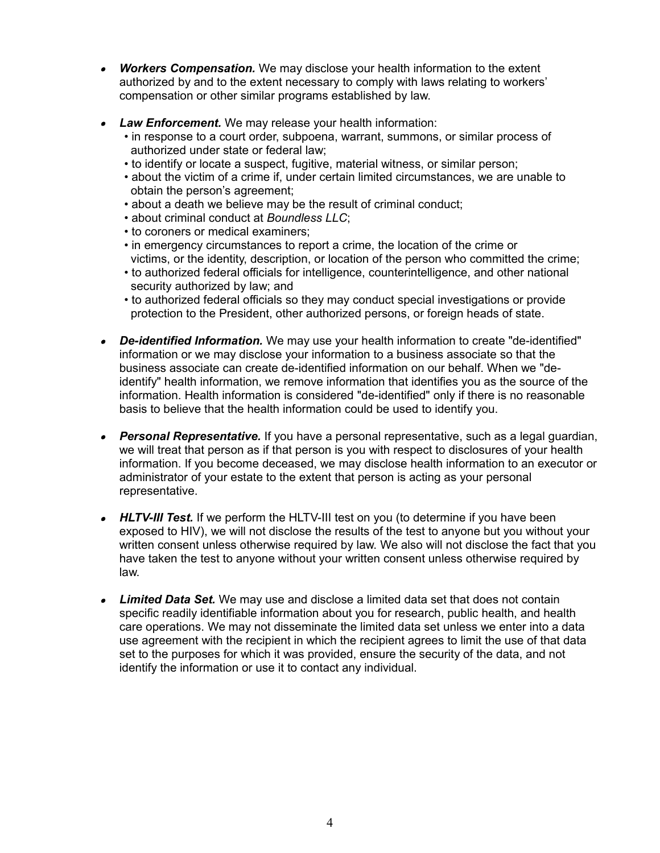- $\bullet$  *Workers Compensation.* We may disclose your health information to the extent authorized by and to the extent necessary to comply with laws relating to workers' compensation or other similar programs established by law.
- *Law Enforcement.* We may release your health information:
	- in response to a court order, subpoena, warrant, summons, or similar process of authorized under state or federal law;
	- to identify or locate a suspect, fugitive, material witness, or similar person;
	- about the victim of a crime if, under certain limited circumstances, we are unable to obtain the person's agreement;
	- about a death we believe may be the result of criminal conduct;
	- about criminal conduct at *Boundless LLC*;
	- to coroners or medical examiners;
	- in emergency circumstances to report a crime, the location of the crime or victims, or the identity, description, or location of the person who committed the crime;
	- to authorized federal officials for intelligence, counterintelligence, and other national security authorized by law; and
	- to authorized federal officials so they may conduct special investigations or provide protection to the President, other authorized persons, or foreign heads of state.
- *De-identified Information.* We may use your health information to create "de-identified" information or we may disclose your information to a business associate so that the business associate can create de-identified information on our behalf. When we "deidentify" health information, we remove information that identifies you as the source of the information. Health information is considered "de-identified" only if there is no reasonable basis to believe that the health information could be used to identify you.
- *Personal Representative.* If you have a personal representative, such as a legal guardian, we will treat that person as if that person is you with respect to disclosures of your health information. If you become deceased, we may disclose health information to an executor or administrator of your estate to the extent that person is acting as your personal representative.
- *HLTV-III Test.* If we perform the HLTV-III test on you (to determine if you have been exposed to HIV), we will not disclose the results of the test to anyone but you without your written consent unless otherwise required by law. We also will not disclose the fact that you have taken the test to anyone without your written consent unless otherwise required by law.
- *Limited Data Set.* We may use and disclose a limited data set that does not contain specific readily identifiable information about you for research, public health, and health care operations. We may not disseminate the limited data set unless we enter into a data use agreement with the recipient in which the recipient agrees to limit the use of that data set to the purposes for which it was provided, ensure the security of the data, and not identify the information or use it to contact any individual.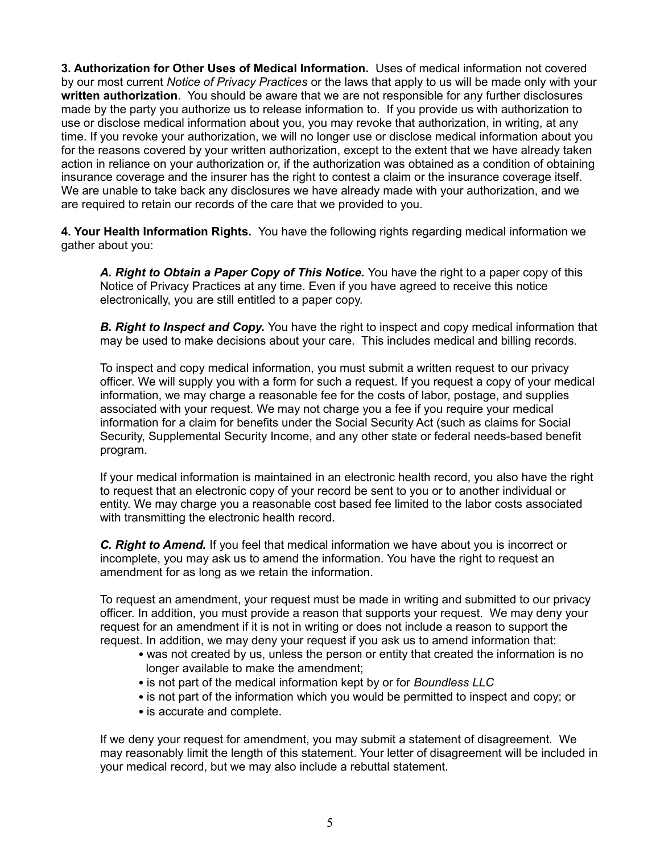**3. Authorization for Other Uses of Medical Information.** Uses of medical information not covered by our most current *Notice of Privacy Practices* or the laws that apply to us will be made only with your **written authorization**. You should be aware that we are not responsible for any further disclosures made by the party you authorize us to release information to. If you provide us with authorization to use or disclose medical information about you, you may revoke that authorization, in writing, at any time. If you revoke your authorization, we will no longer use or disclose medical information about you for the reasons covered by your written authorization, except to the extent that we have already taken action in reliance on your authorization or, if the authorization was obtained as a condition of obtaining insurance coverage and the insurer has the right to contest a claim or the insurance coverage itself. We are unable to take back any disclosures we have already made with your authorization, and we are required to retain our records of the care that we provided to you.

**4. Your Health Information Rights.** You have the following rights regarding medical information we gather about you:

A. Right to Obtain a Paper Copy of This Notice. You have the right to a paper copy of this Notice of Privacy Practices at any time. Even if you have agreed to receive this notice electronically, you are still entitled to a paper copy.

**B. Right to Inspect and Copy.** You have the right to inspect and copy medical information that may be used to make decisions about your care. This includes medical and billing records.

To inspect and copy medical information, you must submit a written request to our privacy officer. We will supply you with a form for such a request. If you request a copy of your medical information, we may charge a reasonable fee for the costs of labor, postage, and supplies associated with your request. We may not charge you a fee if you require your medical information for a claim for benefits under the Social Security Act (such as claims for Social Security, Supplemental Security Income, and any other state or federal needs-based benefit program.

If your medical information is maintained in an electronic health record, you also have the right to request that an electronic copy of your record be sent to you or to another individual or entity. We may charge you a reasonable cost based fee limited to the labor costs associated with transmitting the electronic health record.

*C. Right to Amend.* If you feel that medical information we have about you is incorrect or incomplete, you may ask us to amend the information. You have the right to request an amendment for as long as we retain the information.

To request an amendment, your request must be made in writing and submitted to our privacy officer. In addition, you must provide a reason that supports your request. We may deny your request for an amendment if it is not in writing or does not include a reason to support the request. In addition, we may deny your request if you ask us to amend information that:

- was not created by us, unless the person or entity that created the information is no longer available to make the amendment;
- is not part of the medical information kept by or for *Boundless LLC*
- is not part of the information which you would be permitted to inspect and copy; or
- is accurate and complete.

If we deny your request for amendment, you may submit a statement of disagreement. We may reasonably limit the length of this statement. Your letter of disagreement will be included in your medical record, but we may also include a rebuttal statement.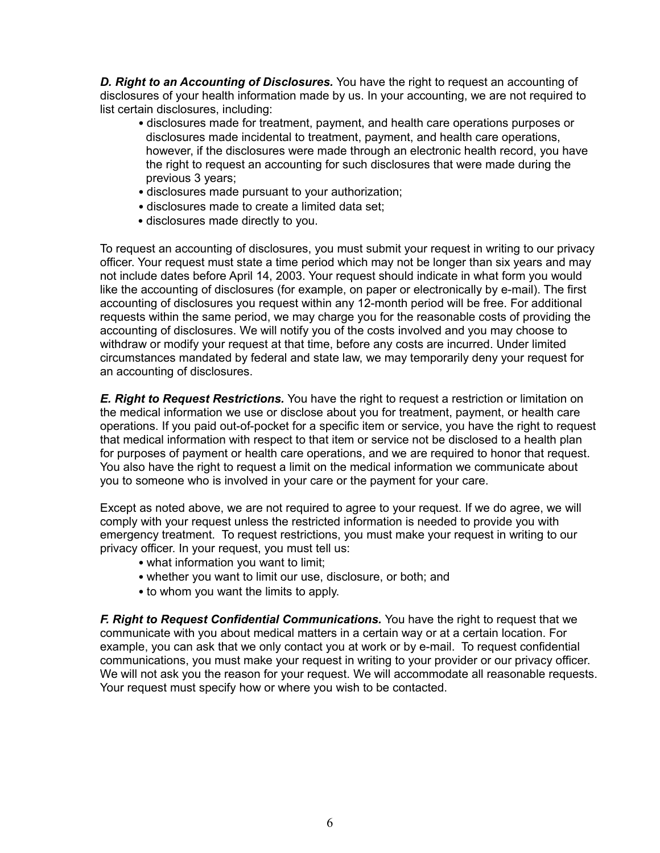*D. Right to an Accounting of Disclosures.* You have the right to request an accounting of disclosures of your health information made by us. In your accounting, we are not required to list certain disclosures, including:

- disclosures made for treatment, payment, and health care operations purposes or disclosures made incidental to treatment, payment, and health care operations, however, if the disclosures were made through an electronic health record, you have the right to request an accounting for such disclosures that were made during the previous 3 years;
- disclosures made pursuant to your authorization;
- disclosures made to create a limited data set;
- disclosures made directly to you.

To request an accounting of disclosures, you must submit your request in writing to our privacy officer. Your request must state a time period which may not be longer than six years and may not include dates before April 14, 2003. Your request should indicate in what form you would like the accounting of disclosures (for example, on paper or electronically by e-mail). The first accounting of disclosures you request within any 12-month period will be free. For additional requests within the same period, we may charge you for the reasonable costs of providing the accounting of disclosures. We will notify you of the costs involved and you may choose to withdraw or modify your request at that time, before any costs are incurred. Under limited circumstances mandated by federal and state law, we may temporarily deny your request for an accounting of disclosures.

*E. Right to Request Restrictions.* You have the right to request a restriction or limitation on the medical information we use or disclose about you for treatment, payment, or health care operations. If you paid out-of-pocket for a specific item or service, you have the right to request that medical information with respect to that item or service not be disclosed to a health plan for purposes of payment or health care operations, and we are required to honor that request. You also have the right to request a limit on the medical information we communicate about you to someone who is involved in your care or the payment for your care.

Except as noted above, we are not required to agree to your request. If we do agree, we will comply with your request unless the restricted information is needed to provide you with emergency treatment. To request restrictions, you must make your request in writing to our privacy officer. In your request, you must tell us:

- what information you want to limit;
- whether you want to limit our use, disclosure, or both; and
- to whom you want the limits to apply.

*F. Right to Request Confidential Communications.* You have the right to request that we communicate with you about medical matters in a certain way or at a certain location. For example, you can ask that we only contact you at work or by e-mail. To request confidential communications, you must make your request in writing to your provider or our privacy officer. We will not ask you the reason for your request. We will accommodate all reasonable requests. Your request must specify how or where you wish to be contacted.